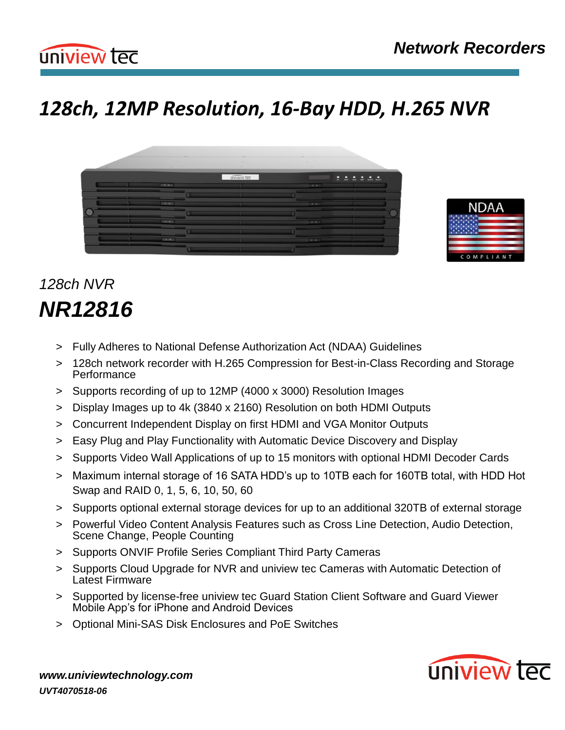

# *128ch, 12MP Resolution, 16-Bay HDD, H.265 NVR*





# *128ch NVR NR12816*

- > Fully Adheres to National Defense Authorization Act (NDAA) Guidelines
- > 128ch network recorder with H.265 Compression for Best-in-Class Recording and Storage **Performance**
- > Supports recording of up to 12MP (4000 x 3000) Resolution Images
- > Display Images up to 4k (3840 x 2160) Resolution on both HDMI Outputs
- > Concurrent Independent Display on first HDMI and VGA Monitor Outputs
- > Easy Plug and Play Functionality with Automatic Device Discovery and Display
- > Supports Video Wall Applications of up to 15 monitors with optional HDMI Decoder Cards
- > Maximum internal storage of 16 SATA HDD's up to 10TB each for 160TB total, with HDD Hot Swap and RAID 0, 1, 5, 6, 10, 50, 60
- > Supports optional external storage devices for up to an additional 320TB of external storage
- > Powerful Video Content Analysis Features such as Cross Line Detection, Audio Detection, Scene Change, People Counting
- > Supports ONVIF Profile Series Compliant Third Party Cameras
- > Supports Cloud Upgrade for NVR and uniview tec Cameras with Automatic Detection of Latest Firmware
- > Supported by license-free uniview tec Guard Station Client Software and Guard Viewer Mobile App's for iPhone and Android Devices
- > Optional Mini-SAS Disk Enclosures and PoE Switches